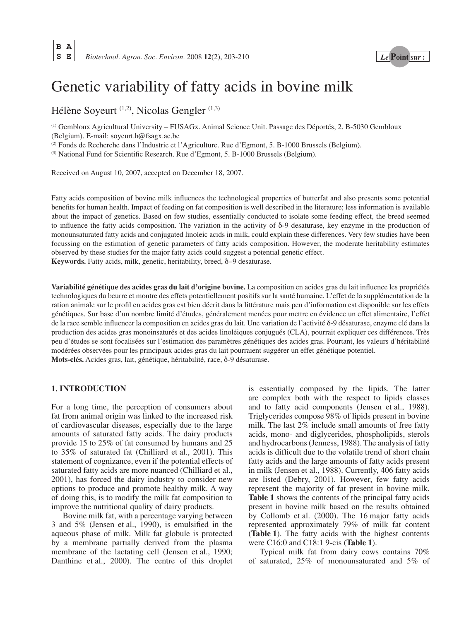# Genetic variability of fatty acids in bovine milk

Hélène Soyeurt (1,2), Nicolas Gengler (1,3)

(1) Gembloux Agricultural University – FUSAGx. Animal Science Unit. Passage des Déportés, 2. B-5030 Gembloux (Belgium). E-mail: soyeurt.h@fsagx.ac.be

(2) Fonds de Recherche dans l'Industrie et l'Agriculture. Rue d'Egmont, 5. B-1000 Brussels (Belgium).

(3) National Fund for Scientific Research. Rue d'Egmont, 5. B-1000 Brussels (Belgium).

Received on August 10, 2007, accepted on December 18, 2007.

Fatty acids composition of bovine milk influences the technological properties of butterfat and also presents some potential benefits for human health. Impact of feeding on fat composition is well described in the literature; less information is available about the impact of genetics. Based on few studies, essentially conducted to isolate some feeding effect, the breed seemed to influence the fatty acids composition. The variation in the activity of δ-9 desaturase, key enzyme in the production of monounsaturated fatty acids and conjugated linoleic acids in milk, could explain these differences. Very few studies have been focussing on the estimation of genetic parameters of fatty acids composition. However, the moderate heritability estimates observed by these studies for the major fatty acids could suggest a potential genetic effect.

**Keywords.** Fatty acids, milk, genetic, heritability, breed, δ−9 desaturase.

**Variabilité génétique des acides gras du lait d'origine bovine.** La composition en acides gras du lait influence les propriétés technologiques du beurre et montre des effets potentiellement positifs sur la santé humaine. L'effet de la supplémentation de la ration animale sur le profil en acides gras est bien décrit dans la littérature mais peu d'information est disponible sur les effets génétiques. Sur base d'un nombre limité d'études, généralement menées pour mettre en évidence un effet alimentaire, l'effet de la race semble influencer la composition en acides gras du lait. Une variation de l'activité δ-9 désaturase, enzyme clé dans la production des acides gras monoinsaturés et des acides linoléiques conjugués (CLA), pourrait expliquer ces différences. Très peu d'études se sont focalisées sur l'estimation des paramètres génétiques des acides gras. Pourtant, les valeurs d'héritabilité modérées observées pour les principaux acides gras du lait pourraient suggérer un effet génétique potentiel. **Mots-clés.** Acides gras, lait, génétique, héritabilité, race, δ-9 désaturase.

# **1. INTRODUCTION**

For a long time, the perception of consumers about fat from animal origin was linked to the increased risk of cardiovascular diseases, especially due to the large amounts of saturated fatty acids. The dairy products provide 15 to 25% of fat consumed by humans and 25 to 35% of saturated fat (Chilliard et al., 2001). This statement of cognizance, even if the potential effects of saturated fatty acids are more nuanced (Chilliard et al., 2001), has forced the dairy industry to consider new options to produce and promote healthy milk. A way of doing this, is to modify the milk fat composition to improve the nutritional quality of dairy products.

Bovine milk fat, with a percentage varying between 3 and 5% (Jensen et al., 1990), is emulsified in the aqueous phase of milk. Milk fat globule is protected by a membrane partially derived from the plasma membrane of the lactating cell (Jensen et al., 1990; Danthine et al., 2000). The centre of this droplet is essentially composed by the lipids. The latter are complex both with the respect to lipids classes and to fatty acid components (Jensen et al., 1988). Triglycerides compose 98% of lipids present in bovine milk. The last 2% include small amounts of free fatty acids, mono- and diglycerides, phospholipids, sterols and hydrocarbons (Jenness, 1988). The analysis of fatty acids is difficult due to the volatile trend of short chain fatty acids and the large amounts of fatty acids present in milk (Jensen et al., 1988). Currently, 406 fatty acids are listed (Debry, 2001). However, few fatty acids represent the majority of fat present in bovine milk. **Table 1** shows the contents of the principal fatty acids present in bovine milk based on the results obtained by Collomb et al. (2000). The 16 major fatty acids represented approximately 79% of milk fat content (**Table 1**). The fatty acids with the highest contents were C16:0 and C18:1 9-cis (**Table 1**).

Typical milk fat from dairy cows contains 70% of saturated, 25% of monounsaturated and 5% of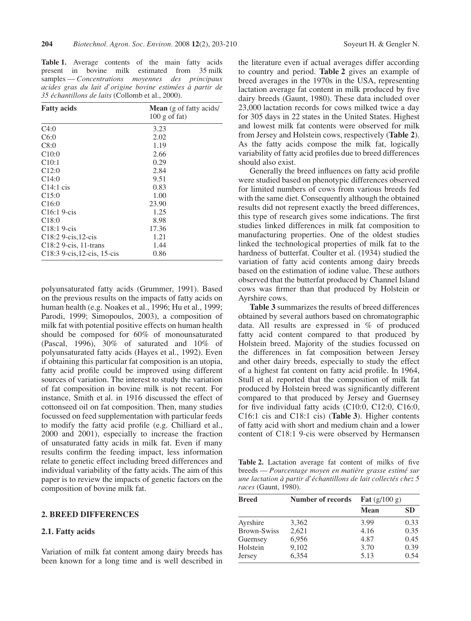**Table 1.** Average contents of the main fatty acids present in bovine milk estimated from 35 milk samples — *Concentrations moyennes des principaux acides gras du lait d'origine bovine estimées à partir de 35 échantillons de laits* (Collomb et al., 2000).

| <b>Fatty acids</b>                       | <b>Mean</b> (g of fatty acids) |  |  |  |  |  |
|------------------------------------------|--------------------------------|--|--|--|--|--|
|                                          | $100$ g of fat)                |  |  |  |  |  |
| C4:0                                     | 3.23                           |  |  |  |  |  |
| C6:0                                     | 2.02                           |  |  |  |  |  |
| C8:0                                     | 1.19                           |  |  |  |  |  |
| C10:0                                    | 2.66                           |  |  |  |  |  |
| C10:1                                    | 0.29                           |  |  |  |  |  |
| C12:0                                    | 2.84                           |  |  |  |  |  |
| C14:0                                    | 9.51                           |  |  |  |  |  |
| $C14:1$ cis                              | 0.83                           |  |  |  |  |  |
| C15:0                                    | 1.00                           |  |  |  |  |  |
| C16:0                                    | 23.90                          |  |  |  |  |  |
| $C16:19-cis$                             | 1.25                           |  |  |  |  |  |
| C18:0                                    | 8.98                           |  |  |  |  |  |
| $C18:19-cis$                             | 17.36                          |  |  |  |  |  |
| C18:2 9-cis, 12-cis                      | 1.21                           |  |  |  |  |  |
| C18:2 9-cis, 11-trans                    | 1.44                           |  |  |  |  |  |
| C <sub>18</sub> :3 9-cis, 12-cis, 15-cis | 0.86                           |  |  |  |  |  |

polyunsaturated fatty acids (Grummer, 1991). Based on the previous results on the impacts of fatty acids on human health (e.g. Noakes et al., 1996; Hu et al., 1999; Parodi, 1999; Simopoulos, 2003), a composition of milk fat with potential positive effects on human health should be composed for 60% of monounsaturated (Pascal, 1996), 30% of saturated and 10% of polyunsaturated fatty acids (Hayes et al., 1992). Even if obtaining this particular fat composition is an utopia, fatty acid profile could be improved using different sources of variation. The interest to study the variation of fat composition in bovine milk is not recent. For instance, Smith et al. in 1916 discussed the effect of cottonseed oil on fat composition. Then, many studies focussed on feed supplementation with particular feeds to modify the fatty acid profile (e.g. Chilliard et al., 2000 and 2001), especially to increase the fraction of unsaturated fatty acids in milk fat. Even if many results confirm the feeding impact, less information relate to genetic effect including breed differences and individual variability of the fatty acids. The aim of this paper is to review the impacts of genetic factors on the composition of bovine milk fat.

#### **2. BREED DIFFERENCES**

#### **2.1. Fatty acids**

Variation of milk fat content among dairy breeds has been known for a long time and is well described in the literature even if actual averages differ according to country and period. **Table 2** gives an example of breed averages in the 1970s in the USA, representing lactation average fat content in milk produced by five dairy breeds (Gaunt, 1980). These data included over 23,000 lactation records for cows milked twice a day for 305 days in 22 states in the United States. Highest and lowest milk fat contents were observed for milk from Jersey and Holstein cows, respectively (**Table 2**). As the fatty acids compose the milk fat, logically variability of fatty acid profiles due to breed differences should also exist.

Generally the breed influences on fatty acid profile were studied based on phenotypic differences observed for limited numbers of cows from various breeds fed with the same diet. Consequently although the obtained results did not represent exactly the breed differences, this type of research gives some indications. The first studies linked differences in milk fat composition to manufacturing properties. One of the oldest studies linked the technological properties of milk fat to the hardness of butterfat. Coulter et al. (1934) studied the variation of fatty acid contents among dairy breeds based on the estimation of iodine value. These authors observed that the butterfat produced by Channel Island cows was firmer than that produced by Holstein or Ayrshire cows.

**Table 3** summarizes the results of breed differences obtained by several authors based on chromatographic data. All results are expressed in % of produced fatty acid content compared to that produced by Holstein breed. Majority of the studies focussed on the differences in fat composition between Jersey and other dairy breeds, especially to study the effect of a highest fat content on fatty acid profile. In 1964, Stull et al. reported that the composition of milk fat produced by Holstein breed was significantly different compared to that produced by Jersey and Guernsey for five individual fatty acids (C10:0, C12:0, C16:0, C16:1 cis and C18:1 cis) (**Table 3**). Higher contents of fatty acid with short and medium chain and a lower content of C18:1 9-cis were observed by Hermansen

**Table 2.** Lactation average fat content of milks of five breeds — *Pourcentage moyen en matière grasse estimé sur une lactation à partir d'échantillons de lait collectés chez 5 races* (Gaunt, 1980).

| <b>Breed</b>       | <b>Number of records</b> | <b>Fat</b> $(g/100 g)$ |           |
|--------------------|--------------------------|------------------------|-----------|
|                    |                          | <b>Mean</b>            | <b>SD</b> |
| Ayrshire           | 3,362                    | 3.99                   | 0.33      |
| <b>Brown-Swiss</b> | 2,621                    | 4.16                   | 0.35      |
| Guernsey           | 6,956                    | 4.87                   | 0.45      |
| Holstein           | 9,102                    | 3.70                   | 0.39      |
| Jersey             | 6,354                    | 5.13                   | 0.54      |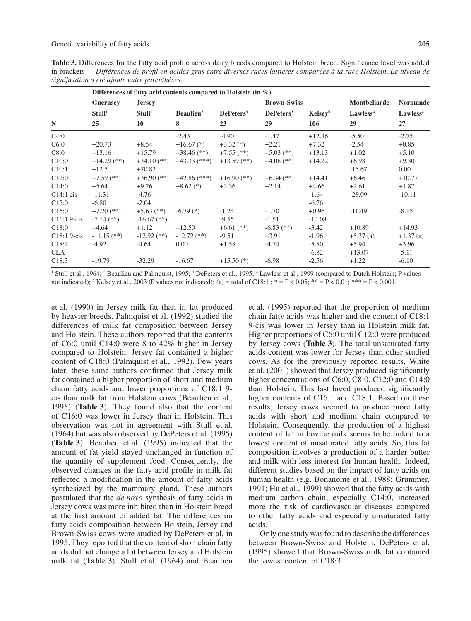|                    |                    |                       | Differences of fatty acid contents compared to Holstein (in $\%$ ) |                       |                     |                      |                                         |  |
|--------------------|--------------------|-----------------------|--------------------------------------------------------------------|-----------------------|---------------------|----------------------|-----------------------------------------|--|
| <b>Guernsey</b>    | <b>Jersey</b>      |                       |                                                                    |                       |                     | <b>Montbeliarde</b>  | <b>Normande</b><br>Lawless <sup>4</sup> |  |
| Stull <sup>1</sup> | Stull <sup>1</sup> | Beaulieu <sup>2</sup> | DePeters <sup>3</sup>                                              | DePeters <sup>3</sup> | Kelsev <sup>5</sup> | Lawless <sup>4</sup> |                                         |  |
| 25                 | 10                 | 8                     | 23                                                                 | 29                    | 106                 | 29                   | 27                                      |  |
|                    |                    | $-2.43$               | $-4.90$                                                            | $-1.47$               | $+12.36$            | $-5.50$              | $-2.75$                                 |  |
| $+20.73$           | $+8.54$            | $+16.67$ (*)          | $+3.32$ (*)                                                        | $+2.21$               | $+7.32$             | $-2.54$              | $+0.85$                                 |  |
| $+13.16$           | $+15.79$           | $+38.46$ (**)         | $+7.55$ (**)                                                       | $+5.03$ (**)          | $+13.13$            | $+1.02$              | $+5.10$                                 |  |
| $+14.29$ (**)      | $+34.10$ (**)      | $+43.33$ (***)        | $+13.59$ (**)                                                      | $+4.08$ (**)          | $+14.22$            | $+6.98$              | $+9.30$                                 |  |
| $+12.5$            | $+70.83$           |                       |                                                                    |                       |                     | $-16.67$             | 0.00                                    |  |
| $+7.59$ (**)       | $+36.90$ (**)      | $+42.86$ (***)        | $+16.90$ (**)                                                      | $+6.34$ (**)          | $+14.41$            | $+6.46$              | $+10.77$                                |  |
| $+5.64$            | $+9.26$            | $+8.62$ (*)           | $+2.36$                                                            | $+2.14$               | $+4.66$             | $+2.61$              | $+1.87$                                 |  |
| $-11.31$           | $-4.76$            |                       |                                                                    |                       | $-1.64$             | $-28.09$             | $-10.11$                                |  |
| $-6.80$            | $-2.04$            |                       |                                                                    |                       | $-6.76$             |                      |                                         |  |
| $+7.20$ (**)       | $+5.63$ (**)       | $-6.79$ $(*)$         | $-1.24$                                                            | $-1.70$               | $+0.96$             | $-11.49$             | $-8.15$                                 |  |
| $-7.14$ (**)       | $-16.67$ (**)      |                       | $-9.55$                                                            | $-1.51$               | $-13.08$            |                      |                                         |  |
| $+4.64$            | $+1.12$            | $+12.50$              | $+6.61$ (**)                                                       | $-6.83$ (**)          | $-3.42$             | $+10.89$             | $+14.93$                                |  |
| $-11.15$ (**)      | $-12.92$ (**)      | $-12.72$ (**)         | $-9.51$                                                            | $+3.91$               | $-1.96$             | $+5.37$ (a)          | $+1.37(a)$                              |  |
| $-4.92$            | $-4.64$            | 0.00                  | $+1.58$                                                            | $-4.74$               | $-5.80$             | $+5.94$              | $+3.96$                                 |  |
|                    |                    |                       |                                                                    |                       | $-6.82$             | $+13.07$             | $-5.11$                                 |  |
| $-19.79$           | $-32.29$           | $-16.67$              | $+15.50$ (*)                                                       | $-6.98$               | $-2.56$             | $+1.22$              | $-6.10$                                 |  |
|                    |                    |                       |                                                                    |                       |                     | <b>Brown-Swiss</b>   |                                         |  |

<sup>1</sup> Stull et al., 1964; <sup>2</sup> Beaulieu and Palmquist, 1995; <sup>3</sup> DePeters et al., 1995; <sup>4</sup> Lawless et al., 1999 (compared to Dutch Holstein; P values not indicated); <sup>5</sup> Kelsey et al., 2003 (P values not indicated); (a) = total of C18:1;  $* = P < 0.05$ ;  $* = P < 0.01$ ;  $** = P < 0.001$ .

et al. (1990) in Jersey milk fat than in fat produced by heavier breeds. Palmquist et al. (1992) studied the differences of milk fat composition between Jersey and Holstein. These authors reported that the contents of C6:0 until C14:0 were 8 to 42% higher in Jersey compared to Holstein. Jersey fat contained a higher content of C18:0 (Palmquist et al., 1992). Few years later, these same authors confirmed that Jersey milk fat contained a higher proportion of short and medium chain fatty acids and lower proportions of C18:1 9 cis than milk fat from Holstein cows (Beaulieu et al., 1995) (**Table 3**). They found also that the content of C16:0 was lower in Jersey than in Holstein. This observation was not in agreement with Stull et al. (1964) but was also observed by DePeters et al. (1995) (**Table 3**). Beaulieu et al. (1995) indicated that the amount of fat yield stayed unchanged in function of the quantity of supplement food. Consequently, the observed changes in the fatty acid profile in milk fat reflected a modification in the amount of fatty acids synthesized by the mammary gland. These authors postulated that the *de novo* synthesis of fatty acids in Jersey cows was more inhibited than in Holstein breed at the first amount of added fat. The differences on fatty acids composition between Holstein, Jersey and Brown-Swiss cows were studied by DePeters et al. in 1995. They reported that the content of short chain fatty acids did not change a lot between Jersey and Holstein milk fat (**Table 3**). Stull et al. (1964) and Beaulieu et al. (1995) reported that the proportion of medium chain fatty acids was higher and the content of C18:1 9-cis was lower in Jersey than in Holstein milk fat. Higher proportions of C6:0 until C12:0 were produced by Jersey cows (**Table 3**). The total unsaturated fatty acids content was lower for Jersey than other studied cows. As for the previously reported results, White et al. (2001) showed that Jersey produced significantly higher concentrations of C6:0, C8:0, C12:0 and C14:0 than Holstein. This last breed produced significantly higher contents of C16:1 and C18:1. Based on these results, Jersey cows seemed to produce more fatty acids with short and medium chain compared to Holstein. Consequently, the production of a highest content of fat in bovine milk seems to be linked to a lowest content of unsaturated fatty acids. So, this fat composition involves a production of a harder butter and milk with less interest for human health. Indeed, different studies based on the impact of fatty acids on human health (e.g. Bonanome et al., 1988; Grummer, 1991; Hu et al., 1999) showed that the fatty acids with medium carbon chain, especially C14:0, increased more the risk of cardiovascular diseases compared to other fatty acids and especially unsaturated fatty acids.

Only one study was found to describe the differences between Brown-Swiss and Holstein. DePeters et al. (1995) showed that Brown-Swiss milk fat contained the lowest content of C18:3.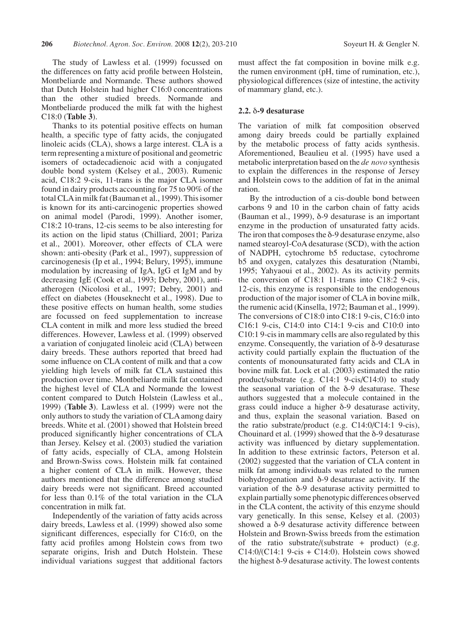The study of Lawless et al. (1999) focussed on the differences on fatty acid profile between Holstein, Montbeliarde and Normande. These authors showed that Dutch Holstein had higher C16:0 concentrations than the other studied breeds. Normande and Montbeliarde produced the milk fat with the highest C18:0 (**Table 3**).

Thanks to its potential positive effects on human health, a specific type of fatty acids, the conjugated linoleic acids (CLA), shows a large interest. CLA is a term representing a mixture of positional and geometric isomers of octadecadienoic acid with a conjugated double bond system (Kelsey et al., 2003). Rumenic acid, C18:2 9-cis, 11-trans is the major CLA isomer found in dairy products accounting for 75 to 90% of the total CLA in milk fat (Bauman et al., 1999). This isomer is known for its anti-carcinogenic properties showed on animal model (Parodi, 1999). Another isomer, C18:2 10-trans, 12-cis seems to be also interesting for its action on the lipid status (Chilliard, 2001; Pariza et al., 2001). Moreover, other effects of CLA were shown: anti-obesity (Park et al., 1997), suppression of carcinogenesis (Ip et al., 1994; Belury, 1995), immune modulation by increasing of IgA, IgG et IgM and by decreasing IgE (Cook et al., 1993; Debry, 2001), antiatherogen (Nicolosi et al., 1997; Debry, 2001) and effect on diabetes (Houseknecht et al., 1998). Due to these positive effects on human health, some studies are focussed on feed supplementation to increase CLA content in milk and more less studied the breed differences. However, Lawless et al. (1999) observed a variation of conjugated linoleic acid (CLA) between dairy breeds. These authors reported that breed had some influence on CLA content of milk and that a cow yielding high levels of milk fat CLA sustained this production over time. Montbeliarde milk fat contained the highest level of CLA and Normande the lowest content compared to Dutch Holstein (Lawless et al., 1999) (**Table 3**). Lawless et al. (1999) were not the only authors to study the variation of CLA among dairy breeds. White et al. (2001) showed that Holstein breed produced significantly higher concentrations of CLA than Jersey. Kelsey et al. (2003) studied the variation of fatty acids, especially of CLA, among Holstein and Brown-Swiss cows. Holstein milk fat contained a higher content of CLA in milk. However, these authors mentioned that the difference among studied dairy breeds were not significant. Breed accounted for less than 0.1% of the total variation in the CLA concentration in milk fat.

Independently of the variation of fatty acids across dairy breeds, Lawless et al. (1999) showed also some significant differences, especially for C16:0, on the fatty acid profiles among Holstein cows from two separate origins, Irish and Dutch Holstein. These individual variations suggest that additional factors must affect the fat composition in bovine milk e.g. the rumen environment (pH, time of rumination, etc.), physiological differences (size of intestine, the activity of mammary gland, etc.).

## **2.2.** δ**-9 desaturase**

The variation of milk fat composition observed among dairy breeds could be partially explained by the metabolic process of fatty acids synthesis. Aforementioned, Beaulieu et al. (1995) have used a metabolic interpretation based on the *de novo* synthesis to explain the differences in the response of Jersey and Holstein cows to the addition of fat in the animal ration.

By the introduction of a cis-double bond between carbons 9 and 10 in the carbon chain of fatty acids (Bauman et al., 1999), δ-9 desaturase is an important enzyme in the production of unsaturated fatty acids. The iron that composes the  $\delta$ -9 desaturase enzyme, also named stearoyl-CoA desaturase (SCD), with the action of NADPH, cytochrome b5 reductase, cytochrome b5 and oxygen, catalyzes this desaturation (Ntambi, 1995; Yahyaoui et al., 2002). As its activity permits the conversion of C18:1 11-trans into C18:2 9-cis, 12-cis, this enzyme is responsible to the endogenous production of the major isomer of CLA in bovine milk, the rumenic acid (Kinsella, 1972; Bauman et al., 1999). The conversions of C18:0 into C18:1 9-cis, C16:0 into C16:1 9-cis, C14:0 into C14:1 9-cis and C10:0 into C10:1 9-cis in mammary cells are also regulated by this enzyme. Consequently, the variation of δ-9 desaturase activity could partially explain the fluctuation of the contents of monounsaturated fatty acids and CLA in bovine milk fat. Lock et al. (2003) estimated the ratio product/substrate (e.g. C14:1 9-cis/C14:0) to study the seasonal variation of the  $δ$ -9 desaturase. These authors suggested that a molecule contained in the grass could induce a higher δ-9 desaturase activity, and thus, explain the seasonal variation. Based on the ratio substrate/product (e.g. C14:0/C14:1 9-cis), Chouinard et al.  $(1999)$  showed that the  $\delta$ -9 desaturase activity was influenced by dietary supplementation. In addition to these extrinsic factors, Peterson et al. (2002) suggested that the variation of CLA content in milk fat among individuals was related to the rumen biohydrogenation and δ-9 desaturase activity. If the variation of the  $\delta$ -9 desaturase activity permitted to explain partially some phenotypic differences observed in the CLA content, the activity of this enzyme should vary genetically. In this sense, Kelsey et al. (2003) showed a δ-9 desaturase activity difference between Holstein and Brown-Swiss breeds from the estimation of the ratio substrate/(substrate + product) (e.g.  $C14:0/(C14:1)$  9-cis +  $C14:0$ ). Holstein cows showed the highest δ-9 desaturase activity. The lowest contents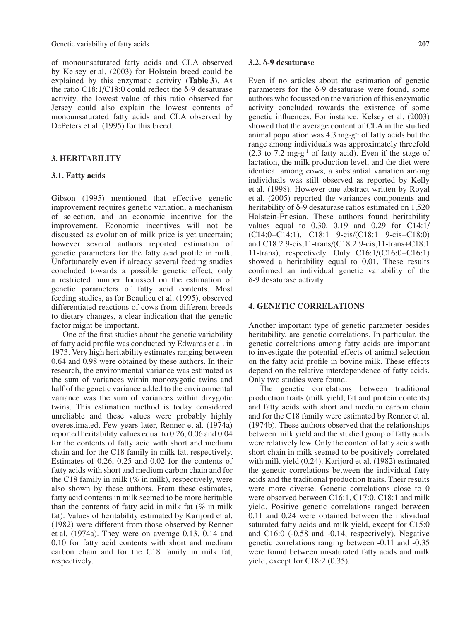Genetic variability of fatty acids **207**

of monounsaturated fatty acids and CLA observed by Kelsey et al. (2003) for Holstein breed could be explained by this enzymatic activity (**Table 3**). As the ratio C18:1/C18:0 could reflect the δ-9 desaturase activity, the lowest value of this ratio observed for Jersey could also explain the lowest contents of monounsaturated fatty acids and CLA observed by DePeters et al. (1995) for this breed.

### **3. HERITABILITY**

#### **3.1. Fatty acids**

Gibson (1995) mentioned that effective genetic improvement requires genetic variation, a mechanism of selection, and an economic incentive for the improvement. Economic incentives will not be discussed as evolution of milk price is yet uncertain; however several authors reported estimation of genetic parameters for the fatty acid profile in milk. Unfortunately even if already several feeding studies concluded towards a possible genetic effect, only a restricted number focussed on the estimation of genetic parameters of fatty acid contents. Most feeding studies, as for Beaulieu et al. (1995), observed differentiated reactions of cows from different breeds to dietary changes, a clear indication that the genetic factor might be important.

One of the first studies about the genetic variability of fatty acid profile was conducted by Edwards et al. in 1973. Very high heritability estimates ranging between 0.64 and 0.98 were obtained by these authors. In their research, the environmental variance was estimated as the sum of variances within monozygotic twins and half of the genetic variance added to the environmental variance was the sum of variances within dizygotic twins. This estimation method is today considered unreliable and these values were probably highly overestimated. Few years later, Renner et al. (1974a) reported heritability values equal to 0.26, 0.06 and 0.04 for the contents of fatty acid with short and medium chain and for the C18 family in milk fat, respectively. Estimates of 0.26, 0.25 and 0.02 for the contents of fatty acids with short and medium carbon chain and for the C18 family in milk (% in milk), respectively, were also shown by these authors. From these estimates, fatty acid contents in milk seemed to be more heritable than the contents of fatty acid in milk fat (% in milk fat). Values of heritability estimated by Karijord et al. (1982) were different from those observed by Renner et al. (1974a). They were on average 0.13, 0.14 and 0.10 for fatty acid contents with short and medium carbon chain and for the C18 family in milk fat, respectively.

#### **3.2.** δ**-9 desaturase**

Even if no articles about the estimation of genetic parameters for the δ-9 desaturase were found, some authors who focussed on the variation of this enzymatic activity concluded towards the existence of some genetic influences. For instance, Kelsey et al. (2003) showed that the average content of CLA in the studied animal population was  $4.3 \text{ mg} \cdot \text{g}^{-1}$  of fatty acids but the range among individuals was approximately threefold  $(2.3 \text{ to } 7.2 \text{ mg}\cdot\text{g}^{-1})$  of fatty acid). Even if the stage of lactation, the milk production level, and the diet were identical among cows, a substantial variation among individuals was still observed as reported by Kelly et al. (1998). However one abstract written by Royal et al. (2005) reported the variances components and heritability of δ-9 desaturase ratios estimated on 1,520 Holstein-Friesian. These authors found heritability values equal to 0.30, 0.19 and 0.29 for C14:1/ (C14:0+C14:1), C18:1 9-cis/(C18:1 9-cis+C18:0) and C18:2 9-cis,11-trans/(C18:2 9-cis,11-trans+C18:1 11-trans), respectively. Only C16:1/(C16:0+C16:1) showed a heritability equal to 0.01. These results confirmed an individual genetic variability of the δ-9 desaturase activity.

### **4. GENETIC CORRELATIONS**

Another important type of genetic parameter besides heritability, are genetic correlations. In particular, the genetic correlations among fatty acids are important to investigate the potential effects of animal selection on the fatty acid profile in bovine milk. These effects depend on the relative interdependence of fatty acids. Only two studies were found.

The genetic correlations between traditional production traits (milk yield, fat and protein contents) and fatty acids with short and medium carbon chain and for the C18 family were estimated by Renner et al. (1974b). These authors observed that the relationships between milk yield and the studied group of fatty acids were relatively low. Only the content of fatty acids with short chain in milk seemed to be positively correlated with milk yield (0.24). Karijord et al. (1982) estimated the genetic correlations between the individual fatty acids and the traditional production traits. Their results were more diverse. Genetic correlations close to 0 were observed between C16:1, C17:0, C18:1 and milk yield. Positive genetic correlations ranged between 0.11 and 0.24 were obtained between the individual saturated fatty acids and milk yield, except for C15:0 and C16:0 (-0.58 and -0.14, respectively). Negative genetic correlations ranging between -0.11 and -0.35 were found between unsaturated fatty acids and milk yield, except for C18:2 (0.35).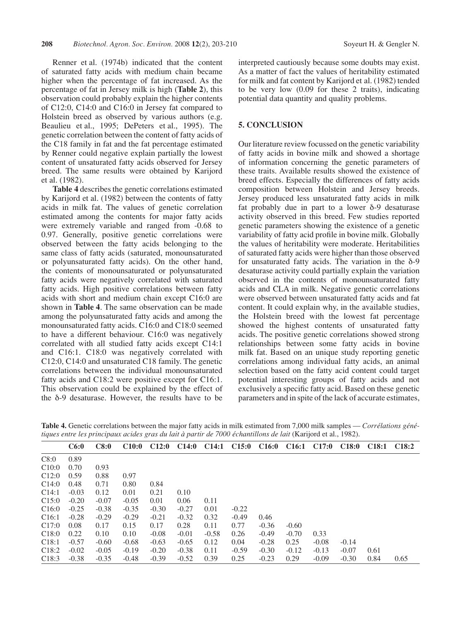Renner et al. (1974b) indicated that the content of saturated fatty acids with medium chain became higher when the percentage of fat increased. As the percentage of fat in Jersey milk is high (**Table 2**), this observation could probably explain the higher contents of C12:0, C14:0 and C16:0 in Jersey fat compared to Holstein breed as observed by various authors (e.g. Beaulieu et al., 1995; DePeters et al., 1995). The genetic correlation between the content of fatty acids of the C18 family in fat and the fat percentage estimated by Renner could negative explain partially the lowest content of unsaturated fatty acids observed for Jersey breed. The same results were obtained by Karijord et al. (1982).

**Table 4** describes the genetic correlations estimated by Karijord et al. (1982) between the contents of fatty acids in milk fat. The values of genetic correlation estimated among the contents for major fatty acids were extremely variable and ranged from -0.68 to 0.97. Generally, positive genetic correlations were observed between the fatty acids belonging to the same class of fatty acids (saturated, monounsaturated or polyunsaturated fatty acids). On the other hand, the contents of monounsaturated or polyunsaturated fatty acids were negatively correlated with saturated fatty acids. High positive correlations between fatty acids with short and medium chain except C16:0 are shown in **Table 4**. The same observation can be made among the polyunsaturated fatty acids and among the monounsaturated fatty acids. C16:0 and C18:0 seemed to have a different behaviour. C16:0 was negatively correlated with all studied fatty acids except C14:1 and C16:1. C18:0 was negatively correlated with C12:0, C14:0 and unsaturated C18 family. The genetic correlations between the individual monounsaturated fatty acids and C18:2 were positive except for C16:1. This observation could be explained by the effect of the δ-9 desaturase. However, the results have to be

interpreted cautiously because some doubts may exist. As a matter of fact the values of heritability estimated for milk and fat content by Karijord et al. (1982) tended to be very low (0.09 for these 2 traits), indicating potential data quantity and quality problems.

# **5. CONCLUSION**

Our literature review focussed on the genetic variability of fatty acids in bovine milk and showed a shortage of information concerning the genetic parameters of these traits. Available results showed the existence of breed effects. Especially the differences of fatty acids composition between Holstein and Jersey breeds. Jersey produced less unsaturated fatty acids in milk fat probably due in part to a lower δ-9 desaturase activity observed in this breed. Few studies reported genetic parameters showing the existence of a genetic variability of fatty acid profile in bovine milk. Globally the values of heritability were moderate. Heritabilities of saturated fatty acids were higher than those observed for unsaturated fatty acids. The variation in the δ-9 desaturase activity could partially explain the variation observed in the contents of monounsaturated fatty acids and CLA in milk. Negative genetic correlations were observed between unsaturated fatty acids and fat content. It could explain why, in the available studies, the Holstein breed with the lowest fat percentage showed the highest contents of unsaturated fatty acids. The positive genetic correlations showed strong relationships between some fatty acids in bovine milk fat. Based on an unique study reporting genetic correlations among individual fatty acids, an animal selection based on the fatty acid content could target potential interesting groups of fatty acids and not exclusively a specific fatty acid. Based on these genetic parameters and in spite of the lack of accurate estimates,

**Table 4.** Genetic correlations between the major fatty acids in milk estimated from 7,000 milk samples — *Corrélations génétiques entre les principaux acides gras du lait à partir de 7000 échantillons de lait* (Karijord et al., 1982).

|                   | C6:0    | C8:0    | C10:0   | C12:0   | C14:0   | C14:1   | C15:0   | C <sub>16:0</sub> | C16:1   | C17:0   | C18:0   | C <sub>18:1</sub> | C <sub>18:2</sub> |
|-------------------|---------|---------|---------|---------|---------|---------|---------|-------------------|---------|---------|---------|-------------------|-------------------|
| C8:0              | 0.89    |         |         |         |         |         |         |                   |         |         |         |                   |                   |
| C10:0             | 0.70    | 0.93    |         |         |         |         |         |                   |         |         |         |                   |                   |
| C12:0             | 0.59    | 0.88    | 0.97    |         |         |         |         |                   |         |         |         |                   |                   |
| C14:0             | 0.48    | 0.71    | 0.80    | 0.84    |         |         |         |                   |         |         |         |                   |                   |
| C14:1             | $-0.03$ | 0.12    | 0.01    | 0.21    | 0.10    |         |         |                   |         |         |         |                   |                   |
| C15:0             | $-0.20$ | $-0.07$ | $-0.05$ | 0.01    | 0.06    | 0.11    |         |                   |         |         |         |                   |                   |
| C16:0             | $-0.25$ | $-0.38$ | $-0.35$ | $-0.30$ | $-0.27$ | 0.01    | $-0.22$ |                   |         |         |         |                   |                   |
| C <sub>16:1</sub> | $-0.28$ | $-0.29$ | $-0.29$ | $-0.21$ | $-0.32$ | 0.32    | $-0.49$ | 0.46              |         |         |         |                   |                   |
| C17:0             | 0.08    | 0.17    | 0.15    | 0.17    | 0.28    | 0.11    | 0.77    | $-0.36$           | $-0.60$ |         |         |                   |                   |
| C18:0             | 0.22    | 0.10    | 0.10    | $-0.08$ | $-0.01$ | $-0.58$ | 0.26    | $-0.49$           | $-0.70$ | 0.33    |         |                   |                   |
| C18:1             | $-0.57$ | $-0.60$ | $-0.68$ | $-0.63$ | $-0.65$ | 0.12    | 0.04    | $-0.28$           | 0.25    | $-0.08$ | $-0.14$ |                   |                   |
| C <sub>18:2</sub> | $-0.02$ | $-0.05$ | $-0.19$ | $-0.20$ | $-0.38$ | 0.11    | $-0.59$ | $-0.30$           | $-0.12$ | $-0.13$ | $-0.07$ | 0.61              |                   |
| C <sub>18:3</sub> | $-0.38$ | $-0.35$ | $-0.48$ | $-0.39$ | $-0.52$ | 0.39    | 0.25    | $-0.23$           | 0.29    | $-0.09$ | $-0.30$ | 0.84              | 0.65              |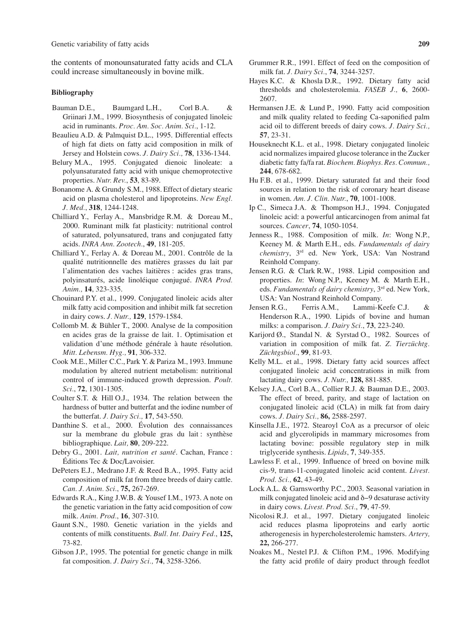Genetic variability of fatty acids **209**

the contents of monounsaturated fatty acids and CLA could increase simultaneously in bovine milk.

#### **Bibliography**

- Bauman D.E., Baumgard L.H., Corl B.A. & Griinari J.M., 1999. Biosynthesis of conjugated linoleic acid in ruminants. *Proc. Am. Soc. Anim. Sci.*, 1-12.
- Beaulieu A.D. & Palmquist D.L., 1995. Differential effects of high fat diets on fatty acid composition in milk of Jersey and Holstein cows. *J. Dairy Sci.,* **78**, 1336-1344.
- Belury M.A., 1995. Conjugated dienoic linoleate: a polyunsaturated fatty acid with unique chemoprotective properties. *Nutr. Rev.*, **53**, 83-89.
- Bonanome A. & Grundy S.M., 1988. Effect of dietary stearic acid on plasma cholesterol and lipoproteins. *New Engl. J. Med.*, **318**, 1244-1248.
- Chilliard Y., Ferlay A., Mansbridge R.M. & Doreau M., 2000. Ruminant milk fat plasticity: nutritional control of saturated, polyunsatured, trans and conjugated fatty acids. *INRA Ann. Zootech.*, **49**, 181-205.
- Chilliard Y., Ferlay A. & Doreau M., 2001. Contrôle de la qualité nutritionnelle des matières grasses du lait par l'alimentation des vaches laitières : acides gras trans, polyinsaturés, acide linoléique conjugué. *INRA Prod. Anim.,* **14**, 323-335.
- Chouinard P.Y. et al., 1999. Conjugated linoleic acids alter milk fatty acid composition and inhibit milk fat secretion in dairy cows. *J. Nutr.,* **129**, 1579-1584.
- Collomb M. & Bühler T., 2000. Analyse de la composition en acides gras de la graisse de lait. 1. Optimisation et validation d'une méthode générale à haute résolution. *Mitt. Lebensm. Hyg.,* **91**, 306-332.
- Cook M.E., Miller C.C., Park Y. & Pariza M., 1993. Immune modulation by altered nutrient metabolism: nutritional control of immune-induced growth depression. *Poult. Sci.*, **72**, 1301-1305.
- Coulter S.T. & Hill O.J., 1934. The relation between the hardness of butter and butterfat and the iodine number of the butterfat. *J. Dairy Sci.,* **17**, 543-550.
- Danthine S. et al., 2000. Évolution des connaissances sur la membrane du globule gras du lait : synthèse bibliographique. *Lait,* **80**, 209-222.
- Debry G., 2001. *Lait, nutrition et santé*. Cachan, France : Éditions Tec & Doc/Lavoisier.
- DePeters E.J., Medrano J.F. & Reed B.A., 1995. Fatty acid composition of milk fat from three breeds of dairy cattle. *Can. J. Anim. Sci.*, **75,** 267-269.
- Edwards R.A., King J.W.B. & Yousef I.M., 1973. A note on the genetic variation in the fatty acid composition of cow milk. *Anim. Prod.*, **16**, 307-310.
- Gaunt S.N., 1980. Genetic variation in the yields and contents of milk constituents. *Bull. Int. Dairy Fed.*, **125,** 73-82.
- Gibson J.P., 1995. The potential for genetic change in milk fat composition. *J. Dairy Sci.,* **74**, 3258-3266.
- Grummer R.R., 1991. Effect of feed on the composition of milk fat. *J. Dairy Sci.*, **74**, 3244-3257.
- Hayes K.C. & Khosla D.R., 1992. Dietary fatty acid thresholds and cholesterolemia. *FASEB J.,* **6**, 2600- 2607.
- Hermansen J.E. & Lund P., 1990. Fatty acid composition and milk quality related to feeding Ca-saponified palm acid oil to different breeds of dairy cows. *J. Dairy Sci.,* **57**, 23-31.
- Houseknecht K.L. et al., 1998. Dietary conjugated linoleic acid normalizes impaired glucose tolerance in the Zucker diabetic fatty fa/fa rat. *Biochem. Biophys. Res. Commun.,* **244**, 678-682.
- Hu F.B. et al., 1999. Dietary saturated fat and their food sources in relation to the risk of coronary heart disease in women. *Am. J. Clin. Nutr.*, **70**, 1001-1008.
- Ip C., Simeca J.A. & Thompson H.J., 1994. Conjugated linoleic acid: a powerful anticarcinogen from animal fat sources. *Cancer*, **74**, 1050-1054.
- Jenness R., 1988. Composition of milk. *In*: Wong N.P., Keeney M. & Marth E.H., eds. *Fundamentals of dairy chemistry*, 3rd ed. New York, USA: Van Nostrand Reinhold Company.
- Jensen R.G. & Clark R.W., 1988. Lipid composition and properties. *In*: Wong N.P., Keeney M. & Marth E.H., eds. *Fundamentals of dairy chemistry*, 3rd ed. New York, USA: Van Nostrand Reinhold Company.
- Jensen R.G., Ferris A.M., Lammi-Keefe C.J. & Henderson R.A., 1990. Lipids of bovine and human milks: a comparison. *J. Dairy Sci.*, **73**, 223-240.
- Karijord Ø., Standal N. & Syrstad O., 1982. Sources of variation in composition of milk fat. *Z. Tierzüchtg. Züchtgsbiol.*, **99**, 81-93.
- Kelly M.L. et al., 1998. Dietary fatty acid sources affect conjugated linoleic acid concentrations in milk from lactating dairy cows. *J. Nutr.,* **128,** 881-885.
- Kelsey J.A., Corl B.A., Collier R.J. & Bauman D.E., 2003. The effect of breed, parity, and stage of lactation on conjugated linoleic acid (CLA) in milk fat from dairy cows. *J. Dairy Sci.,* **86,** 2588-2597.
- Kinsella J.E., 1972. Stearoyl CoA as a precursor of oleic acid and glycerolipids in mammary microsomes from lactating bovine: possible regulatory step in milk triglyceride synthesis. *Lipids*, **7**, 349-355.
- Lawless F. et al., 1999. Influence of breed on bovine milk cis-9, trans-11-conjugated linoleic acid content. *Livest. Prod. Sci.,* **62**, 43-49.
- Lock A.L. & Garnsworthy P.C., 2003. Seasonal variation in milk conjugated linoleic acid and δ−9 desaturase activity in dairy cows. *Livest. Prod. Sci.*, **79**, 47-59.
- Nicolosi R.J. et al., 1997. Dietary conjugated linoleic acid reduces plasma lipoproteins and early aortic atherogenesis in hypercholesterolemic hamsters. *Artery,* **22,** 266-277.
- Noakes M., Nestel P.J. & Clifton P.M., 1996. Modifying the fatty acid profile of dairy product through feedlot